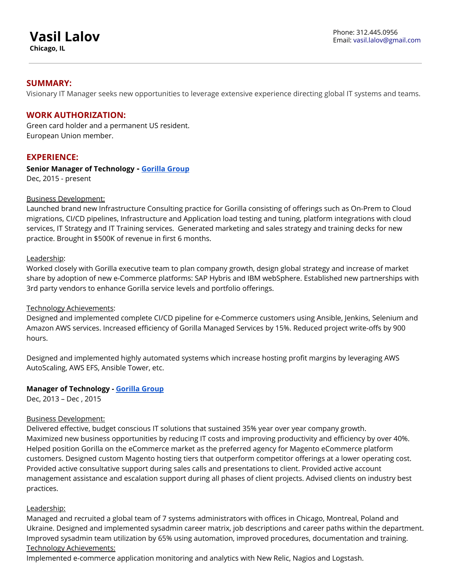# **Vasil Lalov**

**Chicago, IL**

## **SUMMARY:**

Visionary IT Manager seeks new opportunities to leverage extensive experience directing global IT systems and teams.

## **WORK AUTHORIZATION:**

Green card holder and a permanent US resident. European Union member.

## **EXPERIENCE:**

**Senior Manager of Technology - [Gorilla Group](http://www.gorillagroup.com/)** Dec, 2015 - present

#### Business Development:

Launched brand new Infrastructure Consulting practice for Gorilla consisting of offerings such as On-Prem to Cloud migrations, CI/CD pipelines, Infrastructure and Application load testing and tuning, platform integrations with cloud services, IT Strategy and IT Training services. Generated marketing and sales strategy and training decks for new practice. Brought in \$500K of revenue in first 6 months.

#### Leadership:

Worked closely with Gorilla executive team to plan company growth, design global strategy and increase of market share by adoption of new e-Commerce platforms: SAP Hybris and IBM webSphere. Established new partnerships with 3rd party vendors to enhance Gorilla service levels and portfolio offerings.

#### Technology Achievements:

Designed and implemented complete CI/CD pipeline for e-Commerce customers using Ansible, Jenkins, Selenium and Amazon AWS services. Increased efficiency of Gorilla Managed Services by 15%. Reduced project write-offs by 900 hours.

Designed and implemented highly automated systems which increase hosting profit margins by leveraging AWS AutoScaling, AWS EFS, Ansible Tower, etc.

#### **Manager of Technology - [Gorilla Group](http://www.gorillagroup.com/)**

Dec, 2013 – Dec , 2015

#### Business Development:

Delivered effective, budget conscious IT solutions that sustained 35% year over year company growth. Maximized new business opportunities by reducing IT costs and improving productivity and efficiency by over 40%. Helped position Gorilla on the eCommerce market as the preferred agency for Magento eCommerce platform customers. Designed custom Magento hosting tiers that outperform competitor offerings at a lower operating cost. Provided active consultative support during sales calls and presentations to client. Provided active account management assistance and escalation support during all phases of client projects. Advised clients on industry best practices.

#### Leadership:

Managed and recruited a global team of 7 systems administrators with offices in Chicago, Montreal, Poland and Ukraine. Designed and implemented sysadmin career matrix, job descriptions and career paths within the department. Improved sysadmin team utilization by 65% using automation, improved procedures, documentation and training. Technology Achievements:

Implemented e-commerce application monitoring and analytics with New Relic, Nagios and Logstash.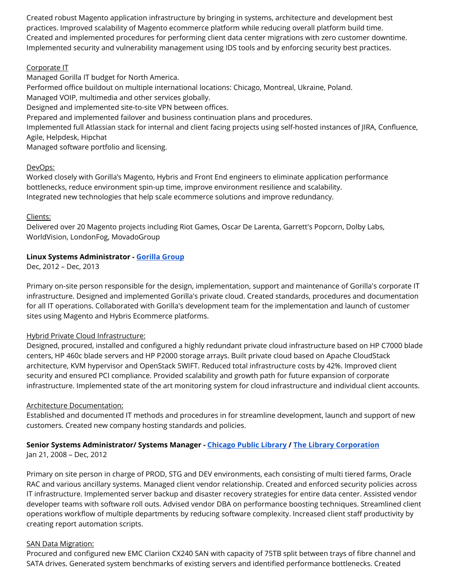Created robust Magento application infrastructure by bringing in systems, architecture and development best practices. Improved scalability of Magento ecommerce platform while reducing overall platform build time. Created and implemented procedures for performing client data center migrations with zero customer downtime. Implemented security and vulnerability management using IDS tools and by enforcing security best practices.

## Corporate IT

Managed Gorilla IT budget for North America. Performed office buildout on multiple international locations: Chicago, Montreal, Ukraine, Poland. Managed VOIP, multimedia and other services globally. Designed and implemented site-to-site VPN between offices. Prepared and implemented failover and business continuation plans and procedures. Implemented full Atlassian stack for internal and client facing projects using self-hosted instances of JIRA, Confluence, Agile, Helpdesk, Hipchat Managed software portfolio and licensing.

## DevOps:

Worked closely with Gorilla's Magento, Hybris and Front End engineers to eliminate application performance bottlenecks, reduce environment spin-up time, improve environment resilience and scalability. Integrated new technologies that help scale ecommerce solutions and improve redundancy.

# Clients:

Delivered over 20 Magento projects including Riot Games, Oscar De Larenta, Garrett's Popcorn, Dolby Labs, WorldVision, LondonFog, MovadoGroup

# **Linux Systems Administrator - [Gorilla Group](http://www.gorillagroup.com/)**

Dec, 2012 – Dec, 2013

Primary on-site person responsible for the design, implementation, support and maintenance of Gorilla's corporate IT infrastructure. Designed and implemented Gorilla's private cloud. Created standards, procedures and documentation for all IT operations. Collaborated with Gorilla's development team for the implementation and launch of customer sites using Magento and Hybris Ecommerce platforms.

# Hybrid Private Cloud Infrastructure:

Designed, procured, installed and configured a highly redundant private cloud infrastructure based on HP C7000 blade centers, HP 460c blade servers and HP P2000 storage arrays. Built private cloud based on Apache CloudStack architecture, KVM hypervisor and OpenStack SWIFT. Reduced total infrastructure costs by 42%. Improved client security and ensured PCI compliance. Provided scalability and growth path for future expansion of corporate infrastructure. Implemented state of the art monitoring system for cloud infrastructure and individual client accounts.

#### Architecture Documentation:

Established and documented IT methods and procedures in for streamline development, launch and support of new customers. Created new company hosting standards and policies.

# **Senior Systems Administrator/ Systems Manager - [Chicago Public Library](http://www.chipublib.org/) / [The Library Corporation](http://www.library.net/)**

Jan 21, 2008 – Dec, 2012

Primary on site person in charge of PROD, STG and DEV environments, each consisting of multi tiered farms, Oracle RAC and various ancillary systems. Managed client vendor relationship. Created and enforced security policies across IT infrastructure. Implemented server backup and disaster recovery strategies for entire data center. Assisted vendor developer teams with software roll outs. Advised vendor DBA on performance boosting techniques. Streamlined client operations workflow of multiple departments by reducing software complexity. Increased client staff productivity by creating report automation scripts.

#### **SAN Data Migration:**

Procured and configured new EMC Clariion CX240 SAN with capacity of 75TB split between trays of fibre channel and SATA drives. Generated system benchmarks of existing servers and identified performance bottlenecks. Created